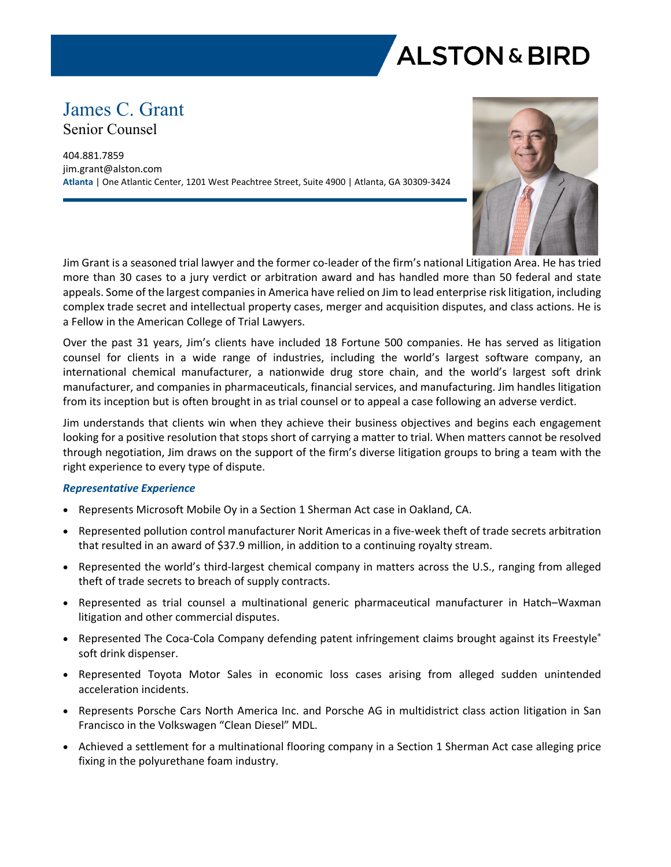

# James C. Grant Senior Counsel

404.881.7859 jim.grant@alston.com **Atlanta** | One Atlantic Center, 1201 West Peachtree Street, Suite 4900 | Atlanta, GA 30309-3424



Jim Grant is a seasoned trial lawyer and the former co-leader of the firm's national Litigation Area. He has tried more than 30 cases to a jury verdict or arbitration award and has handled more than 50 federal and state appeals. Some of the largest companies in America have relied on Jim to lead enterprise risk litigation, including complex trade secret and intellectual property cases, merger and acquisition disputes, and class actions. He is a Fellow in the American College of Trial Lawyers.

Over the past 31 years, Jim's clients have included 18 Fortune 500 companies. He has served as litigation counsel for clients in a wide range of industries, including the world's largest software company, an international chemical manufacturer, a nationwide drug store chain, and the world's largest soft drink manufacturer, and companies in pharmaceuticals, financial services, and manufacturing. Jim handles litigation from its inception but is often brought in as trial counsel or to appeal a case following an adverse verdict.

Jim understands that clients win when they achieve their business objectives and begins each engagement looking for a positive resolution that stops short of carrying a matter to trial. When matters cannot be resolved through negotiation, Jim draws on the support of the firm's diverse litigation groups to bring a team with the right experience to every type of dispute.

## *Representative Experience*

- Represents Microsoft Mobile Oy in a Section 1 Sherman Act case in Oakland, CA.
- Represented pollution control manufacturer Norit Americas in a five-week theft of trade secrets arbitration that resulted in an award of \$37.9 million, in addition to a continuing royalty stream.
- Represented the world's third-largest chemical company in matters across the U.S., ranging from alleged theft of trade secrets to breach of supply contracts.
- Represented as trial counsel a multinational generic pharmaceutical manufacturer in Hatch–Waxman litigation and other commercial disputes.
- Represented The Coca-Cola Company defending patent infringement claims brought against its Freestyle® soft drink dispenser.
- Represented Toyota Motor Sales in economic loss cases arising from alleged sudden unintended acceleration incidents.
- Represents Porsche Cars North America Inc. and Porsche AG in multidistrict class action litigation in San Francisco in the Volkswagen "Clean Diesel" MDL.
- Achieved a settlement for a multinational flooring company in a Section 1 Sherman Act case alleging price fixing in the polyurethane foam industry.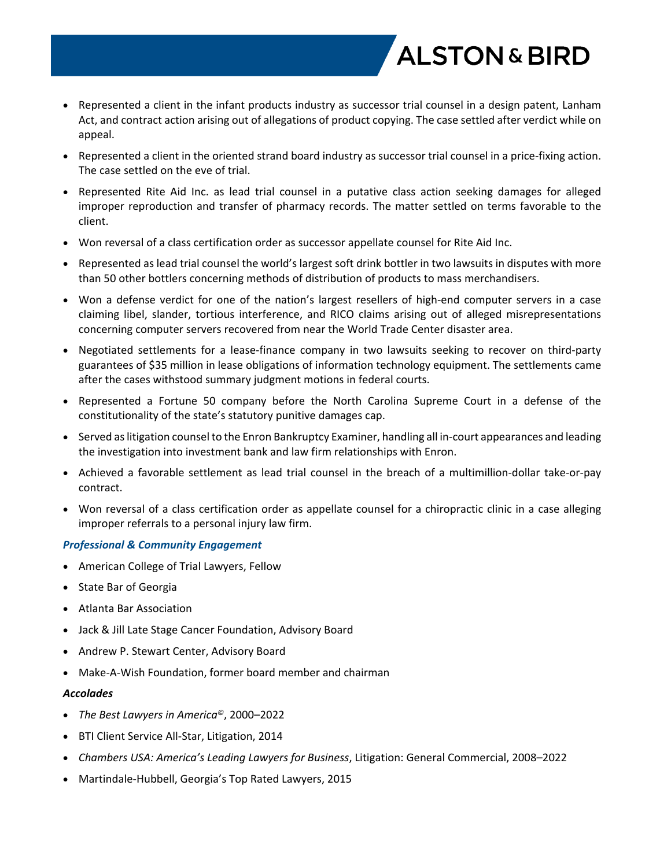

- Represented a client in the infant products industry as successor trial counsel in a design patent, Lanham Act, and contract action arising out of allegations of product copying. The case settled after verdict while on appeal.
- Represented a client in the oriented strand board industry as successor trial counsel in a price-fixing action. The case settled on the eve of trial.
- Represented Rite Aid Inc. as lead trial counsel in a putative class action seeking damages for alleged improper reproduction and transfer of pharmacy records. The matter settled on terms favorable to the client.
- Won reversal of a class certification order as successor appellate counsel for Rite Aid Inc.
- Represented as lead trial counsel the world's largest soft drink bottler in two lawsuits in disputes with more than 50 other bottlers concerning methods of distribution of products to mass merchandisers.
- Won a defense verdict for one of the nation's largest resellers of high-end computer servers in a case claiming libel, slander, tortious interference, and RICO claims arising out of alleged misrepresentations concerning computer servers recovered from near the World Trade Center disaster area.
- Negotiated settlements for a lease-finance company in two lawsuits seeking to recover on third-party guarantees of \$35 million in lease obligations of information technology equipment. The settlements came after the cases withstood summary judgment motions in federal courts.
- Represented a Fortune 50 company before the North Carolina Supreme Court in a defense of the constitutionality of the state's statutory punitive damages cap.
- Served as litigation counsel to the Enron Bankruptcy Examiner, handling all in-court appearances and leading the investigation into investment bank and law firm relationships with Enron.
- Achieved a favorable settlement as lead trial counsel in the breach of a multimillion-dollar take-or-pay contract.
- Won reversal of a class certification order as appellate counsel for a chiropractic clinic in a case alleging improper referrals to a personal injury law firm.

## *Professional & Community Engagement*

- American College of Trial Lawyers, Fellow
- State Bar of Georgia
- Atlanta Bar Association
- Jack & Jill Late Stage Cancer Foundation, Advisory Board
- Andrew P. Stewart Center, Advisory Board
- Make-A-Wish Foundation, former board member and chairman

#### *Accolades*

- *The Best Lawyers in America©*, 2000–2022
- BTI Client Service All-Star, Litigation, 2014
- *Chambers USA: America's Leading Lawyers for Business*, Litigation: General Commercial, 2008–2022
- Martindale-Hubbell, Georgia's Top Rated Lawyers, 2015